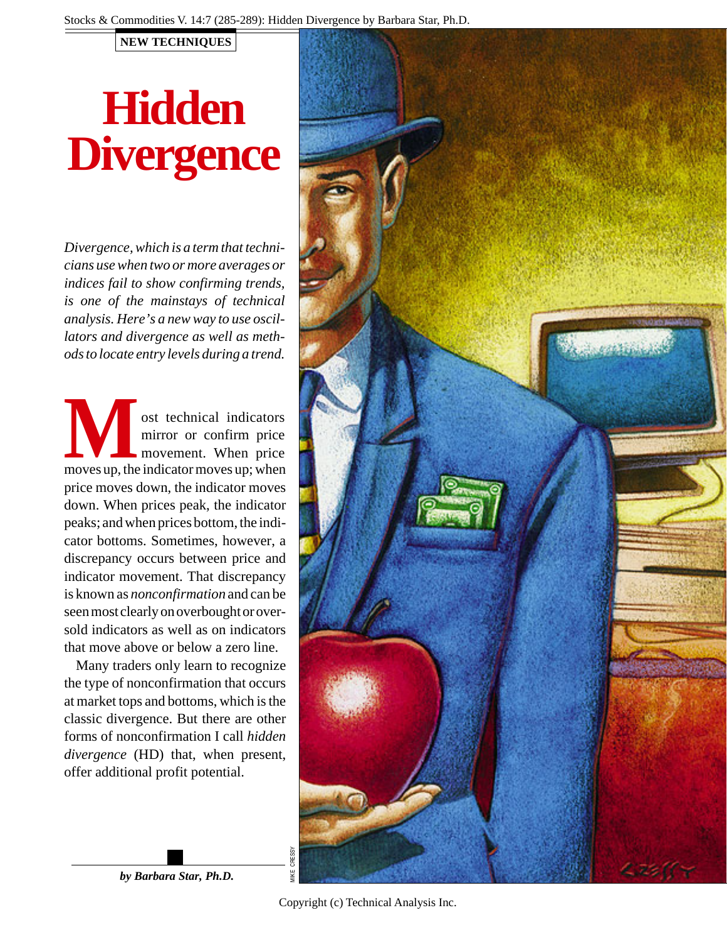## **NEW TECHNIQUES**

# **Hidden Divergence**

*Divergence, which is a term that technicians use when two or more averages or indices fail to show confirming trends, is one of the mainstays of technical analysis. Here's a new way to use oscillators and divergence as well as methods to locate entry levels during a trend.*

**MA**solution of the indicators<br>
movement. When price<br>
moves up, the indicator moves up; when ost technical indicators mirror or confirm price movement. When price price moves down, the indicator moves down. When prices peak, the indicator peaks; and when prices bottom, the indicator bottoms. Sometimes, however, a discrepancy occurs between price and indicator movement. That discrepancy is known as *nonconfirmation* and can be seen most clearly on overbought or oversold indicators as well as on indicators that move above or below a zero line.

Many traders only learn to recognize the type of nonconfirmation that occurs at market tops and bottoms, which is the classic divergence. But there are other forms of nonconfirmation I call *hidden divergence* (HD) that, when present, offer additional profit potential.



*by Barbara Star, Ph.D.*

Copyright (c) Technical Analysis Inc.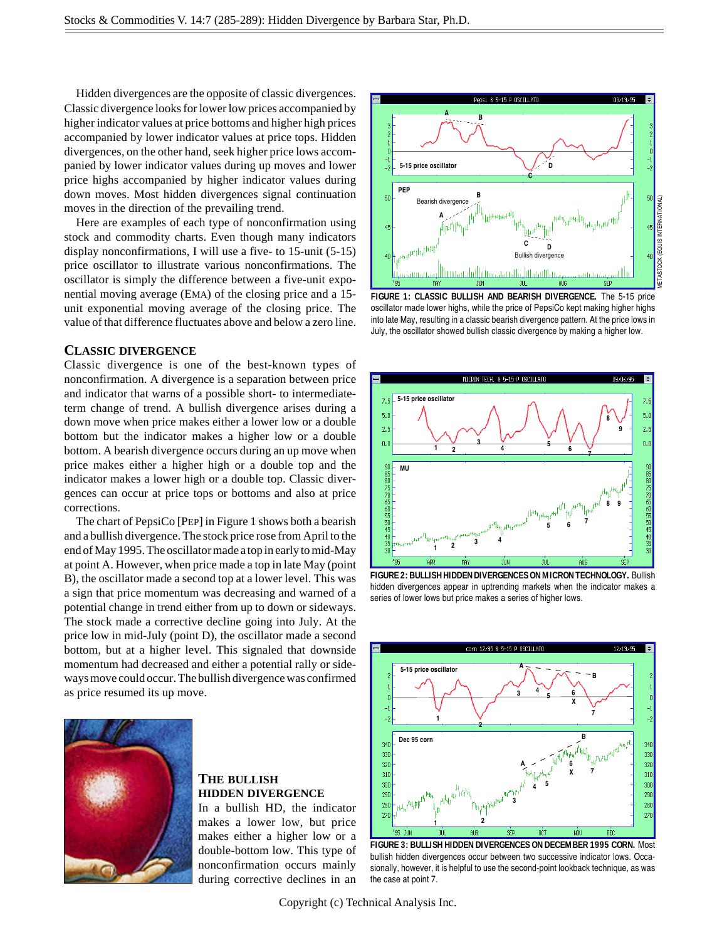Hidden divergences are the opposite of classic divergences. Classic divergence looks for lower low prices accompanied by higher indicator values at price bottoms and higher high prices accompanied by lower indicator values at price tops. Hidden divergences, on the other hand, seek higher price lows accompanied by lower indicator values during up moves and lower price highs accompanied by higher indicator values during down moves. Most hidden divergences signal continuation moves in the direction of the prevailing trend.

Here are examples of each type of nonconfirmation using stock and commodity charts. Even though many indicators display nonconfirmations, I will use a five- to 15-unit (5-15) price oscillator to illustrate various nonconfirmations. The oscillator is simply the difference between a five-unit exponential moving average (EMA) of the closing price and a 15 unit exponential moving average of the closing price. The value of that difference fluctuates above and below a zero line.

#### **CLASSIC DIVERGENCE**

Classic divergence is one of the best-known types of nonconfirmation. A divergence is a separation between price and indicator that warns of a possible short- to intermediateterm change of trend. A bullish divergence arises during a down move when price makes either a lower low or a double bottom but the indicator makes a higher low or a double bottom. A bearish divergence occurs during an up move when price makes either a higher high or a double top and the indicator makes a lower high or a double top. Classic divergences can occur at price tops or bottoms and also at price corrections.

The chart of PepsiCo [PEP] in Figure 1 shows both a bearish and a bullish divergence. The stock price rose from April to the end of May 1995. The oscillator made a top in early to mid-May at point A. However, when price made a top in late May (point B), the oscillator made a second top at a lower level. This was a sign that price momentum was decreasing and warned of a potential change in trend either from up to down or sideways. The stock made a corrective decline going into July. At the price low in mid-July (point D), the oscillator made a second bottom, but at a higher level. This signaled that downside momentum had decreased and either a potential rally or sideways move could occur. The bullish divergence was confirmed as price resumed its up move.



### **THE BULLISH HIDDEN DIVERGENCE**

In a bullish HD, the indicator makes a lower low, but price makes either a higher low or a double-bottom low. This type of nonconfirmation occurs mainly during corrective declines in an



**FIGURE 1: CLASSIC BULLISH AND BEARISH DIVERGENCE.** The 5-15 price oscillator made lower highs, while the price of PepsiCo kept making higher highs into late May, resulting in a classic bearish divergence pattern. At the price lows in July, the oscillator showed bullish classic divergence by making a higher low.



**FIGURE 2: BULLISH HIDDEN DIVERGENCES ON MICRON TECHNOLOGY.** Bullish hidden divergences appear in uptrending markets when the indicator makes a series of lower lows but price makes a series of higher lows.



**FIGURE 3: BULLISH HIDDEN DIVERGENCES ON DECEMBER 1995 CORN.** Most bullish hidden divergences occur between two successive indicator lows. Occasionally, however, it is helpful to use the second-point lookback technique, as was the case at point 7.

Copyright (c) Technical Analysis Inc.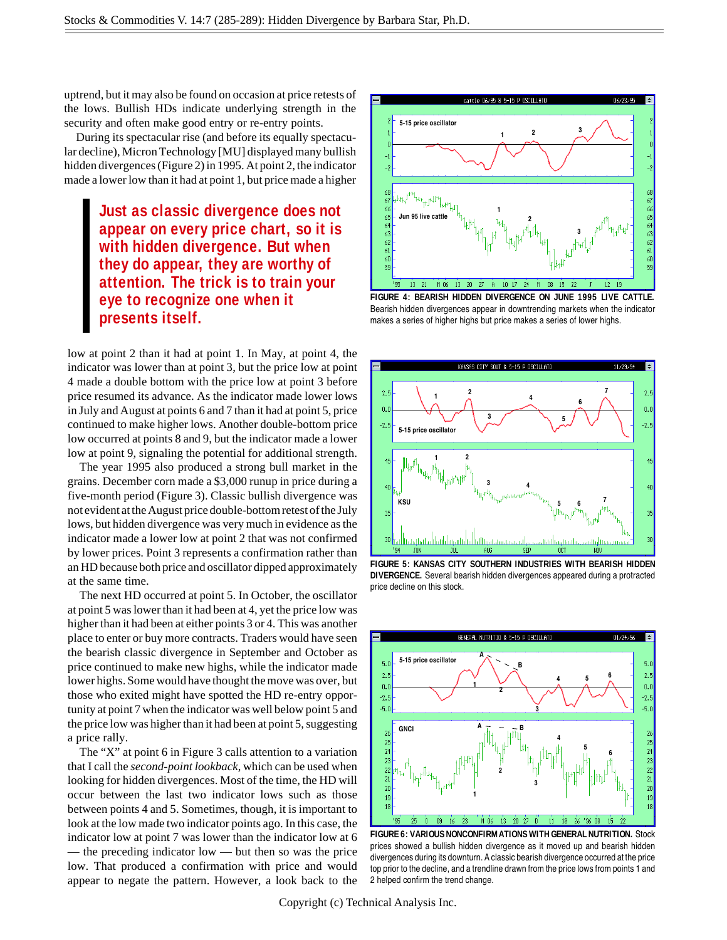uptrend, but it may also be found on occasion at price retests of the lows. Bullish HDs indicate underlying strength in the security and often make good entry or re-entry points.

During its spectacular rise (and before its equally spectacular decline), Micron Technology [MU] displayed many bullish hidden divergences (Figure 2) in 1995. At point 2, the indicator made a lower low than it had at point 1, but price made a higher

> **Just as classic divergence does not appear on every price chart, so it is with hidden divergence. But when they do appear, they are worthy of attention. The trick is to train your eye to recognize one when it presents itself.**

low at point 2 than it had at point 1. In May, at point 4, the indicator was lower than at point 3, but the price low at point 4 made a double bottom with the price low at point 3 before price resumed its advance. As the indicator made lower lows in July and August at points 6 and 7 than it had at point 5, price continued to make higher lows. Another double-bottom price low occurred at points 8 and 9, but the indicator made a lower low at point 9, signaling the potential for additional strength.

The year 1995 also produced a strong bull market in the grains. December corn made a \$3,000 runup in price during a five-month period (Figure 3). Classic bullish divergence was not evident at the August price double-bottom retest of the July lows, but hidden divergence was very much in evidence as the indicator made a lower low at point 2 that was not confirmed by lower prices. Point 3 represents a confirmation rather than an HD because both price and oscillator dipped approximately at the same time.

The next HD occurred at point 5. In October, the oscillator at point 5 was lower than it had been at 4, yet the price low was higher than it had been at either points 3 or 4. This was another place to enter or buy more contracts. Traders would have seen the bearish classic divergence in September and October as price continued to make new highs, while the indicator made lower highs. Some would have thought the move was over, but those who exited might have spotted the HD re-entry opportunity at point 7 when the indicator was well below point 5 and the price low was higher than it had been at point 5, suggesting a price rally.

The "X" at point 6 in Figure 3 calls attention to a variation that I call the *second-point lookback*, which can be used when looking for hidden divergences. Most of the time, the HD will occur between the last two indicator lows such as those between points 4 and 5. Sometimes, though, it is important to look at the low made two indicator points ago. In this case, the indicator low at point 7 was lower than the indicator low at 6 — the preceding indicator low — but then so was the price low. That produced a confirmation with price and would appear to negate the pattern. However, a look back to the



**FIGURE 4: BEARISH HIDDEN DIVERGENCE ON JUNE 1995 LIVE CATTLE.** Bearish hidden divergences appear in downtrending markets when the indicator makes a series of higher highs but price makes a series of lower highs.



**FIGURE 5: KANSAS CITY SOUTHERN INDUSTRIES WITH BEARISH HIDDEN DIVERGENCE.** Several bearish hidden divergences appeared during a protracted price decline on this stock.



**FIGURE 6: VARIOUS NONCONFIRMATIONS WITH GENERAL NUTRITION.** Stock prices showed a bullish hidden divergence as it moved up and bearish hidden divergences during its downturn. A classic bearish divergence occurred at the price top prior to the decline, and a trendline drawn from the price lows from points 1 and 2 helped confirm the trend change.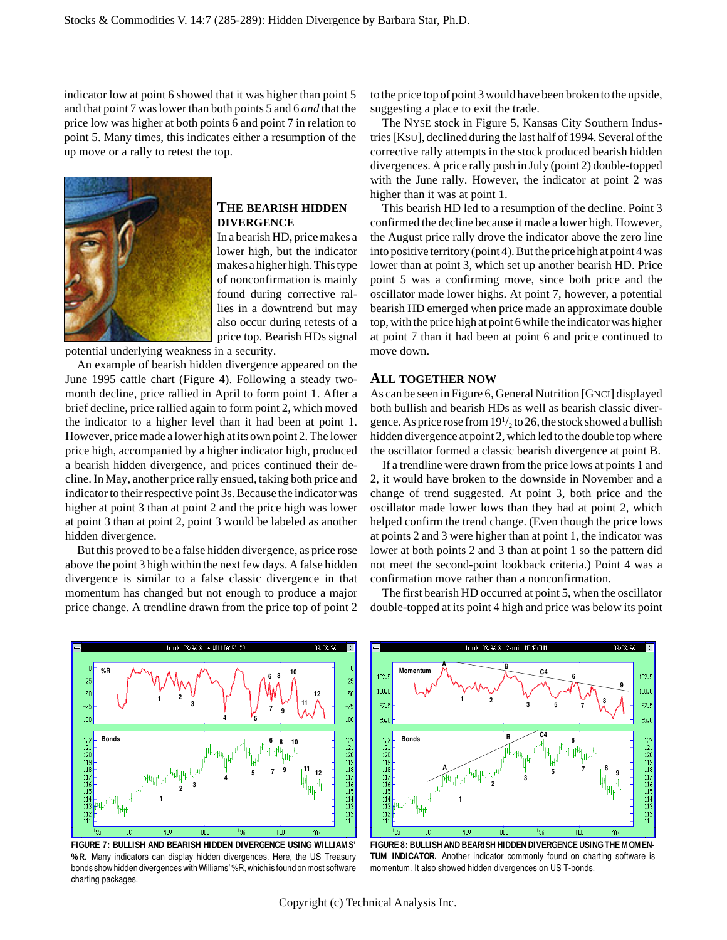indicator low at point 6 showed that it was higher than point 5 and that point 7 was lower than both points 5 and 6 *and* that the price low was higher at both points 6 and point 7 in relation to point 5. Many times, this indicates either a resumption of the up move or a rally to retest the top.



#### **THE BEARISH HIDDEN DIVERGENCE**

In a bearish HD, price makes a lower high, but the indicator makes a higher high. This type of nonconfirmation is mainly found during corrective rallies in a downtrend but may also occur during retests of a price top. Bearish HDs signal

potential underlying weakness in a security.

An example of bearish hidden divergence appeared on the June 1995 cattle chart (Figure 4). Following a steady twomonth decline, price rallied in April to form point 1. After a brief decline, price rallied again to form point 2, which moved the indicator to a higher level than it had been at point 1. However, price made a lower high at its own point 2. The lower price high, accompanied by a higher indicator high, produced a bearish hidden divergence, and prices continued their decline. In May, another price rally ensued, taking both price and indicator to their respective point 3s. Because the indicator was higher at point 3 than at point 2 and the price high was lower at point 3 than at point 2, point 3 would be labeled as another hidden divergence.

But this proved to be a false hidden divergence, as price rose above the point 3 high within the next few days. A false hidden divergence is similar to a false classic divergence in that momentum has changed but not enough to produce a major price change. A trendline drawn from the price top of point 2 to the price top of point 3 would have been broken to the upside, suggesting a place to exit the trade.

The NYSE stock in Figure 5, Kansas City Southern Industries [KSU], declined during the last half of 1994. Several of the corrective rally attempts in the stock produced bearish hidden divergences. A price rally push in July (point 2) double-topped with the June rally. However, the indicator at point 2 was higher than it was at point 1.

This bearish HD led to a resumption of the decline. Point 3 confirmed the decline because it made a lower high. However, the August price rally drove the indicator above the zero line into positive territory (point 4). But the price high at point 4 was lower than at point 3, which set up another bearish HD. Price point 5 was a confirming move, since both price and the oscillator made lower highs. At point 7, however, a potential bearish HD emerged when price made an approximate double top, with the price high at point 6 while the indicator was higher at point 7 than it had been at point 6 and price continued to move down.

#### **ALL TOGETHER NOW**

As can be seen in Figure 6, General Nutrition [GNCI] displayed both bullish and bearish HDs as well as bearish classic divergence. As price rose from  $19<sup>1</sup>/<sub>2</sub>$  to 26, the stock showed a bullish hidden divergence at point 2, which led to the double top where the oscillator formed a classic bearish divergence at point B.

If a trendline were drawn from the price lows at points 1 and 2, it would have broken to the downside in November and a change of trend suggested. At point 3, both price and the oscillator made lower lows than they had at point 2, which helped confirm the trend change. (Even though the price lows at points 2 and 3 were higher than at point 1, the indicator was lower at both points 2 and 3 than at point 1 so the pattern did not meet the second-point lookback criteria.) Point 4 was a confirmation move rather than a nonconfirmation.

The first bearish HD occurred at point 5, when the oscillator double-topped at its point 4 high and price was below its point



**FIGURE 7: BULLISH AND BEARISH HIDDEN DIVERGENCE USING WILLIAMS' %R.** Many indicators can display hidden divergences. Here, the US Treasury bonds show hidden divergences with Williams' %R, which is found on most software charting packages.



**FIGURE 8: BULLISH AND BEARISH HIDDEN DIVERGENCE USING THE MOMEN-TUM INDICATOR.** Another indicator commonly found on charting software is momentum. It also showed hidden divergences on US T-bonds.